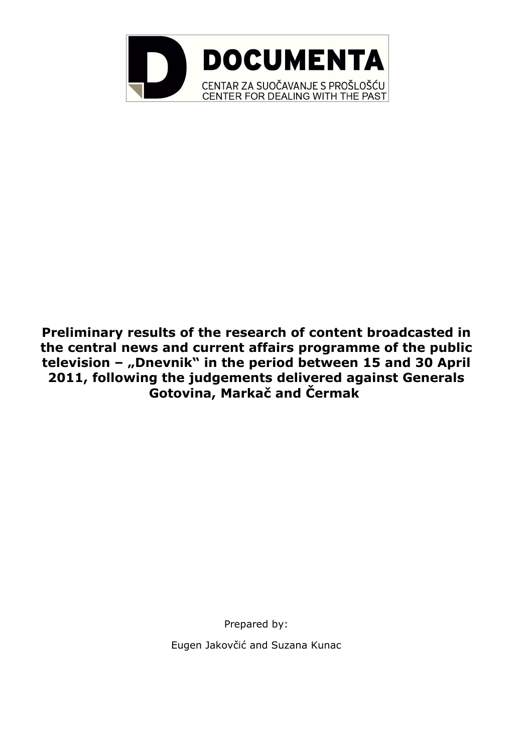

**Preliminary results of the research of content broadcasted in the central news and current affairs programme of the public television – "Dnevnik" in the period between 15 and 30 April 2011, following the judgements delivered against Generals Gotovina, Markač and Čermak**

> Prepared by: Eugen Jakovčić and Suzana Kunac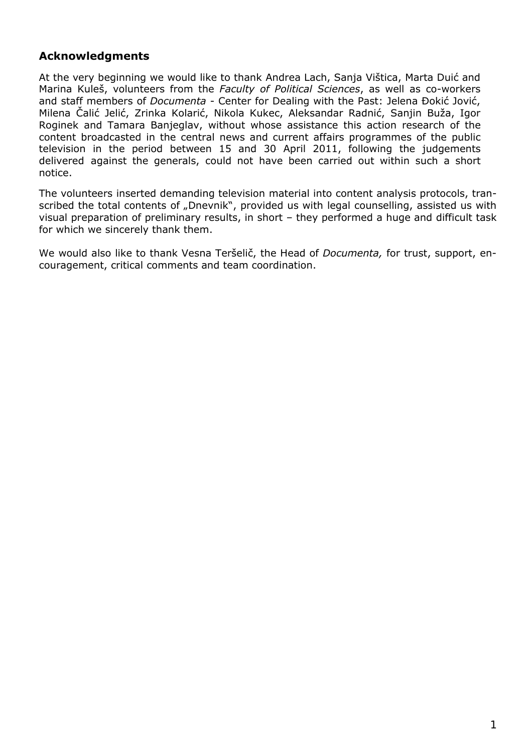## **Acknowledgments**

At the very beginning we would like to thank Andrea Lach, Sanja Vištica, Marta Duić and Marina Kuleš, volunteers from the *Faculty of Political Sciences*, as well as co-workers and staff members of *Documenta* - Center for Dealing with the Past: Jelena Đokić Jović, Milena Čalić Jelić, Zrinka Kolarić, Nikola Kukec, Aleksandar Radnić, Sanjin Buža, Igor Roginek and Tamara Banjeglav, without whose assistance this action research of the content broadcasted in the central news and current affairs programmes of the public television in the period between 15 and 30 April 2011, following the judgements delivered against the generals, could not have been carried out within such a short notice.

The volunteers inserted demanding television material into content analysis protocols, transcribed the total contents of "Dnevnik", provided us with legal counselling, assisted us with visual preparation of preliminary results, in short – they performed a huge and difficult task for which we sincerely thank them.

We would also like to thank Vesna Teršelič, the Head of *Documenta,* for trust, support, encouragement, critical comments and team coordination.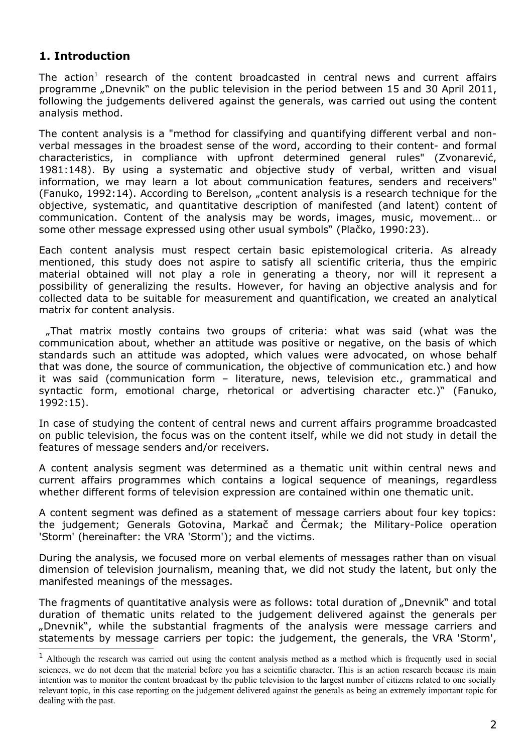## **1. Introduction**

The action<sup>[1](#page-2-0)</sup> research of the content broadcasted in central news and current affairs programme "Dnevnik" on the public television in the period between 15 and 30 April 2011, following the judgements delivered against the generals, was carried out using the content analysis method.

The content analysis is a "method for classifying and quantifying different verbal and nonverbal messages in the broadest sense of the word, according to their content- and formal characteristics, in compliance with upfront determined general rules" (Zvonarević, 1981:148). By using a systematic and objective study of verbal, written and visual information, we may learn a lot about communication features, senders and receivers" (Fanuko, 1992:14). According to Berelson, "content analysis is a research technique for the objective, systematic, and quantitative description of manifested (and latent) content of communication. Content of the analysis may be words, images, music, movement… or some other message expressed using other usual symbols" (Plačko, 1990:23).

Each content analysis must respect certain basic epistemological criteria. As already mentioned, this study does not aspire to satisfy all scientific criteria, thus the empiric material obtained will not play a role in generating a theory, nor will it represent a possibility of generalizing the results. However, for having an objective analysis and for collected data to be suitable for measurement and quantification, we created an analytical matrix for content analysis.

 "That matrix mostly contains two groups of criteria: what was said (what was the communication about, whether an attitude was positive or negative, on the basis of which standards such an attitude was adopted, which values were advocated, on whose behalf that was done, the source of communication, the objective of communication etc.) and how it was said (communication form – literature, news, television etc., grammatical and syntactic form, emotional charge, rhetorical or advertising character etc.)" (Fanuko, 1992:15).

In case of studying the content of central news and current affairs programme broadcasted on public television, the focus was on the content itself, while we did not study in detail the features of message senders and/or receivers.

A content analysis segment was determined as a thematic unit within central news and current affairs programmes which contains a logical sequence of meanings, regardless whether different forms of television expression are contained within one thematic unit.

A content segment was defined as a statement of message carriers about four key topics: the judgement; Generals Gotovina, Markač and Čermak; the Military-Police operation 'Storm' (hereinafter: the VRA 'Storm'); and the victims.

During the analysis, we focused more on verbal elements of messages rather than on visual dimension of television journalism, meaning that, we did not study the latent, but only the manifested meanings of the messages.

The fragments of quantitative analysis were as follows: total duration of "Dnevnik" and total duration of thematic units related to the judgement delivered against the generals per "Dnevnik", while the substantial fragments of the analysis were message carriers and statements by message carriers per topic: the judgement, the generals, the VRA 'Storm',

<span id="page-2-0"></span><sup>&</sup>lt;sup>1</sup> Although the research was carried out using the content analysis method as a method which is frequently used in social sciences, we do not deem that the material before you has a scientific character. This is an action research because its main intention was to monitor the content broadcast by the public television to the largest number of citizens related to one socially relevant topic, in this case reporting on the judgement delivered against the generals as being an extremely important topic for dealing with the past.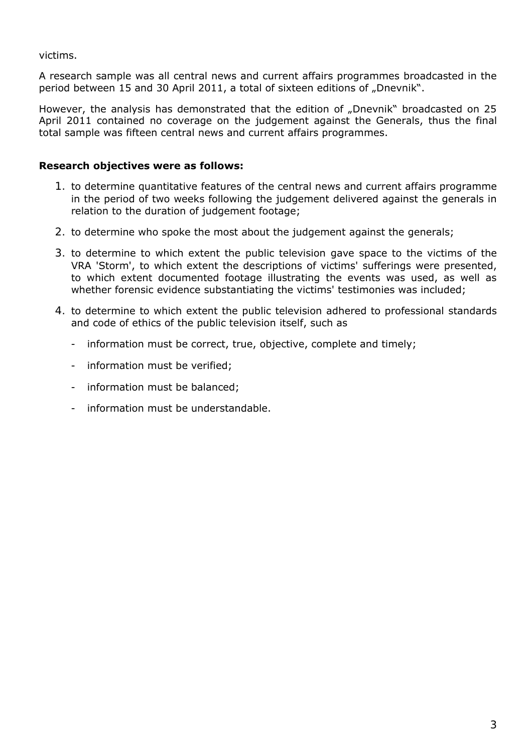victims.

A research sample was all central news and current affairs programmes broadcasted in the period between 15 and 30 April 2011, a total of sixteen editions of "Dnevnik".

However, the analysis has demonstrated that the edition of "Dnevnik" broadcasted on 25 April 2011 contained no coverage on the judgement against the Generals, thus the final total sample was fifteen central news and current affairs programmes.

#### **Research objectives were as follows:**

- 1. to determine quantitative features of the central news and current affairs programme in the period of two weeks following the judgement delivered against the generals in relation to the duration of judgement footage;
- 2. to determine who spoke the most about the judgement against the generals;
- 3. to determine to which extent the public television gave space to the victims of the VRA 'Storm', to which extent the descriptions of victims' sufferings were presented, to which extent documented footage illustrating the events was used, as well as whether forensic evidence substantiating the victims' testimonies was included;
- 4. to determine to which extent the public television adhered to professional standards and code of ethics of the public television itself, such as
	- information must be correct, true, objective, complete and timely;
	- information must be verified;
	- information must be balanced;
	- information must be understandable.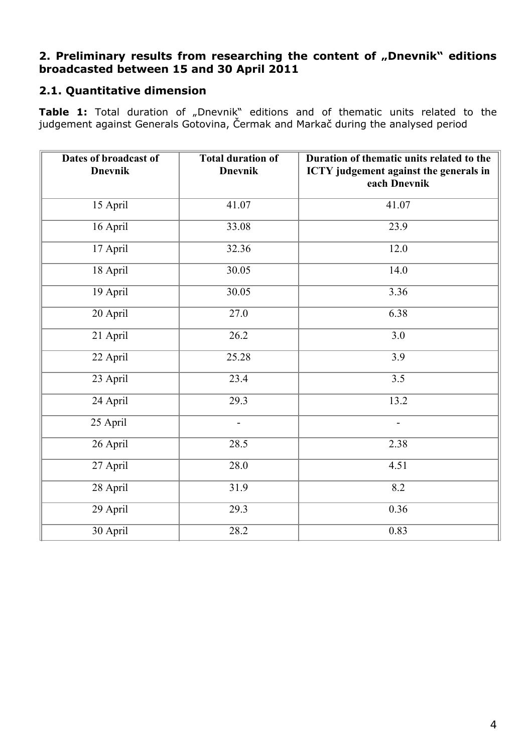# **2. Preliminary results from researching the content of "Dnevnik" editions broadcasted between 15 and 30 April 2011**

# **2.1. Quantitative dimension**

**Table 1:** Total duration of "Dnevnik" editions and of thematic units related to the judgement against Generals Gotovina, Čermak and Markač during the analysed period

| Dates of broadcast of<br><b>Dnevnik</b> | <b>Total duration of</b><br><b>Dnevnik</b> | Duration of thematic units related to the<br>ICTY judgement against the generals in<br>each Dnevnik |
|-----------------------------------------|--------------------------------------------|-----------------------------------------------------------------------------------------------------|
| 15 April                                | 41.07                                      | 41.07                                                                                               |
| 16 April                                | 33.08                                      | 23.9                                                                                                |
| 17 April                                | 32.36                                      | 12.0                                                                                                |
| 18 April                                | 30.05                                      | 14.0                                                                                                |
| 19 April                                | 30.05                                      | 3.36                                                                                                |
| 20 April                                | 27.0                                       | 6.38                                                                                                |
| 21 April                                | 26.2                                       | 3.0                                                                                                 |
| 22 April                                | 25.28                                      | 3.9                                                                                                 |
| 23 April                                | 23.4                                       | 3.5                                                                                                 |
| 24 April                                | 29.3                                       | 13.2                                                                                                |
| 25 April                                | $\blacksquare$                             | $\overline{\phantom{a}}$                                                                            |
| 26 April                                | 28.5                                       | 2.38                                                                                                |
| 27 April                                | 28.0                                       | 4.51                                                                                                |
| 28 April                                | 31.9                                       | 8.2                                                                                                 |
| 29 April                                | 29.3                                       | 0.36                                                                                                |
| 30 April                                | 28.2                                       | 0.83                                                                                                |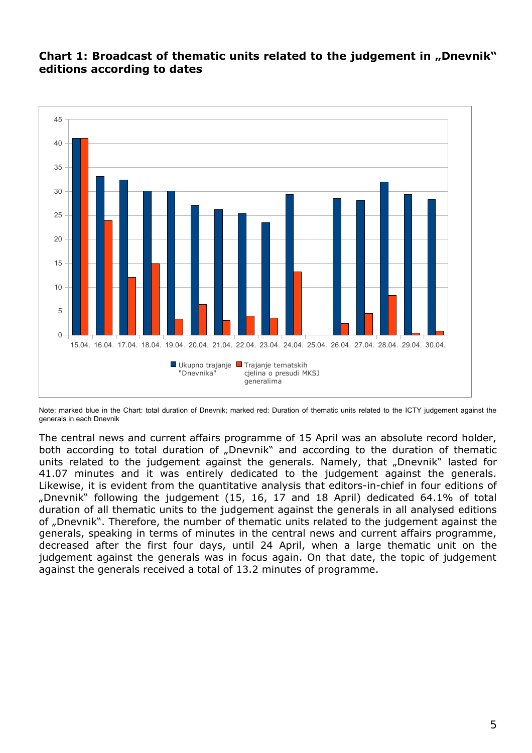## **Chart 1: Broadcast of thematic units related to the judgement in "Dnevnik" editions according to dates**



Note: marked blue in the Chart: total duration of Dnevnik; marked red: Duration of thematic units related to the ICTY judgement against the generals in each Dnevnik

The central news and current affairs programme of 15 April was an absolute record holder, both according to total duration of "Dnevnik" and according to the duration of thematic units related to the judgement against the generals. Namely, that "Dnevnik" lasted for 41.07 minutes and it was entirely dedicated to the judgement against the generals. Likewise, it is evident from the quantitative analysis that editors-in-chief in four editions of "Dnevnik" following the judgement (15, 16, 17 and 18 April) dedicated 64.1% of total duration of all thematic units to the judgement against the generals in all analysed editions of "Dnevnik". Therefore, the number of thematic units related to the judgement against the generals, speaking in terms of minutes in the central news and current affairs programme, decreased after the first four days, until 24 April, when a large thematic unit on the judgement against the generals was in focus again. On that date, the topic of judgement against the generals received a total of 13.2 minutes of programme.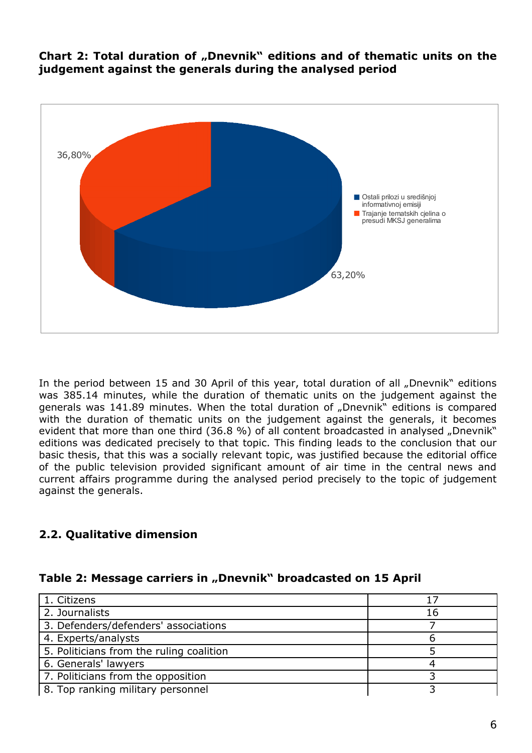**Chart 2: Total duration of "Dnevnik" editions and of thematic units on the judgement against the generals during the analysed period**



In the period between 15 and 30 April of this year, total duration of all "Dnevnik" editions was 385.14 minutes, while the duration of thematic units on the judgement against the generals was 141.89 minutes. When the total duration of "Dnevnik" editions is compared with the duration of thematic units on the judgement against the generals, it becomes evident that more than one third (36.8 %) of all content broadcasted in analysed "Dnevnik" editions was dedicated precisely to that topic. This finding leads to the conclusion that our basic thesis, that this was a socially relevant topic, was justified because the editorial office of the public television provided significant amount of air time in the central news and current affairs programme during the analysed period precisely to the topic of judgement against the generals.

# **2.2. Qualitative dimension**

|  |  | Table 2: Message carriers in "Dnevnik" broadcasted on 15 April |  |
|--|--|----------------------------------------------------------------|--|
|--|--|----------------------------------------------------------------|--|

| 1. Citizens                              | 17 |
|------------------------------------------|----|
| 2. Journalists                           | 16 |
| 3. Defenders/defenders' associations     |    |
| 4. Experts/analysts                      |    |
| 5. Politicians from the ruling coalition |    |
| 6. Generals' lawyers                     |    |
| 7. Politicians from the opposition       |    |
| 8. Top ranking military personnel        |    |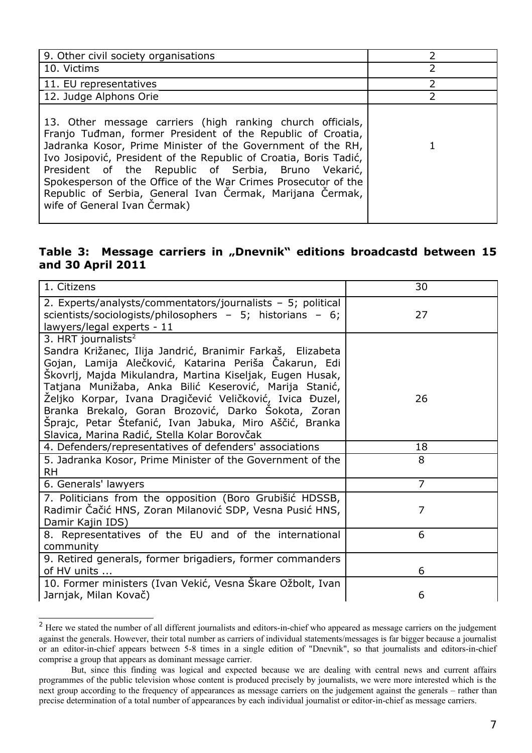| 9. Other civil society organisations                                                                                                                                                                                                                                                                                                                                                                                                                                                |               |
|-------------------------------------------------------------------------------------------------------------------------------------------------------------------------------------------------------------------------------------------------------------------------------------------------------------------------------------------------------------------------------------------------------------------------------------------------------------------------------------|---------------|
| 10. Victims                                                                                                                                                                                                                                                                                                                                                                                                                                                                         | 2             |
| 11. EU representatives                                                                                                                                                                                                                                                                                                                                                                                                                                                              | 2             |
| 12. Judge Alphons Orie                                                                                                                                                                                                                                                                                                                                                                                                                                                              | $\mathcal{P}$ |
| 13. Other message carriers (high ranking church officials,<br>Franjo Tuđman, former President of the Republic of Croatia,<br>Jadranka Kosor, Prime Minister of the Government of the RH,<br>Ivo Josipović, President of the Republic of Croatia, Boris Tadić,<br>President of the Republic of Serbia, Bruno Vekarić,<br>Spokesperson of the Office of the War Crimes Prosecutor of the<br>Republic of Serbia, General Ivan Čermak, Marijana Čermak,<br>wife of General Ivan Cermak) |               |

### **Table 3: Message carriers in "Dnevnik" editions broadcastd between 15 and 30 April 2011**

| 1. Citizens                                                                                                                                                                                                                                                                                                                                                                                                                                                                                        | 30             |
|----------------------------------------------------------------------------------------------------------------------------------------------------------------------------------------------------------------------------------------------------------------------------------------------------------------------------------------------------------------------------------------------------------------------------------------------------------------------------------------------------|----------------|
| 2. Experts/analysts/commentators/journalists - 5; political<br>scientists/sociologists/philosophers - 5; historians - 6;<br>lawyers/legal experts - 11                                                                                                                                                                                                                                                                                                                                             | 27             |
| 3. HRT journalists $2$<br>Sandra Križanec, Ilija Jandrić, Branimir Farkaš, Elizabeta<br>Gojan, Lamija Alečković, Katarina Periša Čakarun, Edi<br>Škovrlj, Majda Mikulandra, Martina Kiseljak, Eugen Husak,<br>Tatjana Munižaba, Anka Bilić Keserović, Marija Stanić,<br>Željko Korpar, Ivana Dragičević Veličković, Ivica Đuzel,<br>Branka Brekalo, Goran Brozović, Darko Sokota, Zoran<br>Šprajc, Petar Štefanić, Ivan Jabuka, Miro Aščić, Branka<br>Slavica, Marina Radić, Stella Kolar Borovčak | 26             |
| 4. Defenders/representatives of defenders' associations                                                                                                                                                                                                                                                                                                                                                                                                                                            | 18             |
| 5. Jadranka Kosor, Prime Minister of the Government of the<br><b>RH</b>                                                                                                                                                                                                                                                                                                                                                                                                                            | 8              |
| 6. Generals' lawyers                                                                                                                                                                                                                                                                                                                                                                                                                                                                               | $\overline{7}$ |
| 7. Politicians from the opposition (Boro Grubišić HDSSB,<br>Radimir Čačić HNS, Zoran Milanović SDP, Vesna Pusić HNS,                                                                                                                                                                                                                                                                                                                                                                               | 7              |
| Damir Kajin IDS)                                                                                                                                                                                                                                                                                                                                                                                                                                                                                   |                |
| 8. Representatives of the EU and of the international<br>community                                                                                                                                                                                                                                                                                                                                                                                                                                 | 6              |
| 9. Retired generals, former brigadiers, former commanders<br>of HV units<br>10. Former ministers (Ivan Vekić, Vesna Škare Ožbolt, Ivan                                                                                                                                                                                                                                                                                                                                                             | 6              |

<span id="page-7-0"></span><sup>&</sup>lt;sup>2</sup> Here we stated the number of all different journalists and editors-in-chief who appeared as message carriers on the judgement against the generals. However, their total number as carriers of individual statements/messages is far bigger because a journalist or an editor-in-chief appears between 5-8 times in a single edition of "Dnevnik", so that journalists and editors-in-chief comprise a group that appears as dominant message carrier.

But, since this finding was logical and expected because we are dealing with central news and current affairs programmes of the public television whose content is produced precisely by journalists, we were more interested which is the next group according to the frequency of appearances as message carriers on the judgement against the generals – rather than precise determination of a total number of appearances by each individual journalist or editor-in-chief as message carriers.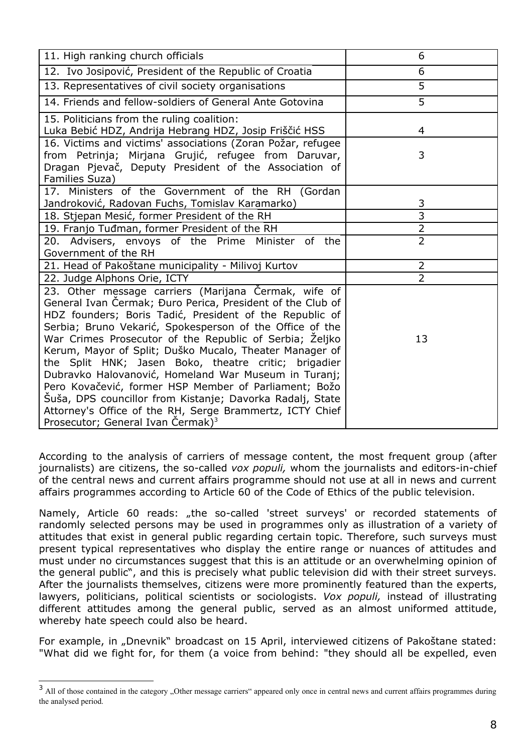| 11. High ranking church officials                                                                                                                                                                                                                                                                                                                                                                                                                                                                                                                                                                                                                                                                                  | 6              |
|--------------------------------------------------------------------------------------------------------------------------------------------------------------------------------------------------------------------------------------------------------------------------------------------------------------------------------------------------------------------------------------------------------------------------------------------------------------------------------------------------------------------------------------------------------------------------------------------------------------------------------------------------------------------------------------------------------------------|----------------|
| 12. Ivo Josipović, President of the Republic of Croatia                                                                                                                                                                                                                                                                                                                                                                                                                                                                                                                                                                                                                                                            | 6              |
| 13. Representatives of civil society organisations                                                                                                                                                                                                                                                                                                                                                                                                                                                                                                                                                                                                                                                                 | 5              |
| 14. Friends and fellow-soldiers of General Ante Gotovina                                                                                                                                                                                                                                                                                                                                                                                                                                                                                                                                                                                                                                                           | $\overline{5}$ |
| 15. Politicians from the ruling coalition:<br>Luka Bebić HDZ, Andrija Hebrang HDZ, Josip Friščić HSS                                                                                                                                                                                                                                                                                                                                                                                                                                                                                                                                                                                                               | 4              |
| 16. Victims and victims' associations (Zoran Požar, refugee<br>from Petrinja; Mirjana Grujić, refugee from Daruvar,<br>Dragan Pjevač, Deputy President of the Association of<br>Families Suza)                                                                                                                                                                                                                                                                                                                                                                                                                                                                                                                     | 3              |
| 17. Ministers of the Government of the RH (Gordan<br>Jandroković, Radovan Fuchs, Tomislav Karamarko)                                                                                                                                                                                                                                                                                                                                                                                                                                                                                                                                                                                                               | 3              |
| 18. Stjepan Mesić, former President of the RH                                                                                                                                                                                                                                                                                                                                                                                                                                                                                                                                                                                                                                                                      | $\overline{3}$ |
| 19. Franjo Tuđman, former President of the RH                                                                                                                                                                                                                                                                                                                                                                                                                                                                                                                                                                                                                                                                      | $\overline{2}$ |
| 20. Advisers, envoys of the Prime Minister of the<br>Government of the RH                                                                                                                                                                                                                                                                                                                                                                                                                                                                                                                                                                                                                                          | $\overline{2}$ |
| 21. Head of Pakoštane municipality - Milivoj Kurtov                                                                                                                                                                                                                                                                                                                                                                                                                                                                                                                                                                                                                                                                | $\overline{2}$ |
| 22. Judge Alphons Orie, ICTY                                                                                                                                                                                                                                                                                                                                                                                                                                                                                                                                                                                                                                                                                       | $\overline{2}$ |
| 23. Other message carriers (Marijana Čermak, wife of<br>General Ivan Čermak; Đuro Perica, President of the Club of<br>HDZ founders; Boris Tadić, President of the Republic of<br>Serbia; Bruno Vekarić, Spokesperson of the Office of the<br>War Crimes Prosecutor of the Republic of Serbia; Željko<br>Kerum, Mayor of Split; Duško Mucalo, Theater Manager of<br>the Split HNK; Jasen Boko, theatre critic; brigadier<br>Dubravko Halovanović, Homeland War Museum in Turanj;<br>Pero Kovačević, former HSP Member of Parliament; Božo<br>Šuša, DPS councillor from Kistanje; Davorka Radalj, State<br>Attorney's Office of the RH, Serge Brammertz, ICTY Chief<br>Prosecutor; General Ivan Cermak) <sup>3</sup> | 13             |

According to the analysis of carriers of message content, the most frequent group (after journalists) are citizens, the so-called *vox populi,* whom the journalists and editors-in-chief of the central news and current affairs programme should not use at all in news and current affairs programmes according to Article 60 of the Code of Ethics of the public television.

Namely, Article 60 reads: "the so-called 'street surveys' or recorded statements of randomly selected persons may be used in programmes only as illustration of a variety of attitudes that exist in general public regarding certain topic. Therefore, such surveys must present typical representatives who display the entire range or nuances of attitudes and must under no circumstances suggest that this is an attitude or an overwhelming opinion of the general public", and this is precisely what public television did with their street surveys. After the journalists themselves, citizens were more prominently featured than the experts, lawyers, politicians, political scientists or sociologists. *Vox populi,* instead of illustrating different attitudes among the general public, served as an almost uniformed attitude, whereby hate speech could also be heard.

For example, in "Dnevnik" broadcast on 15 April, interviewed citizens of Pakoštane stated: "What did we fight for, for them (a voice from behind: "they should all be expelled, even

<span id="page-8-0"></span><sup>&</sup>lt;sup>3</sup> All of those contained in the category "Other message carriers" appeared only once in central news and current affairs programmes during the analysed period.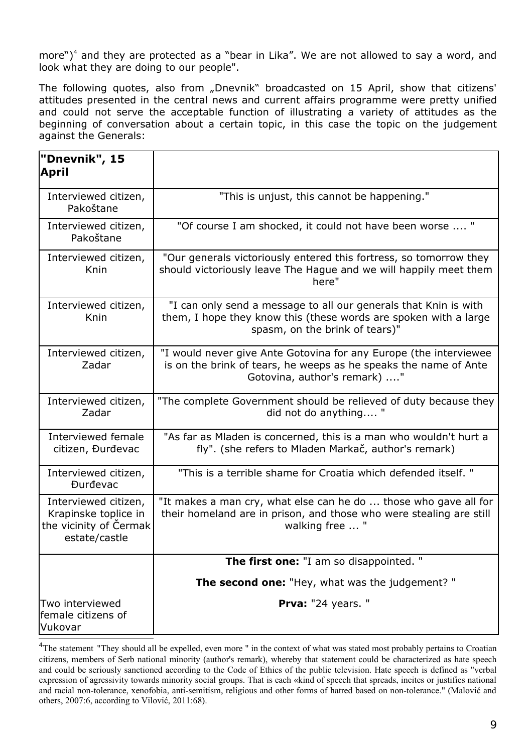more")<sup>[4](#page-9-0)</sup> and they are protected as a "bear in Lika". We are not allowed to say a word, and look what they are doing to our people".

The following quotes, also from "Dnevnik" broadcasted on 15 April, show that citizens' attitudes presented in the central news and current affairs programme were pretty unified and could not serve the acceptable function of illustrating a variety of attitudes as the beginning of conversation about a certain topic, in this case the topic on the judgement against the Generals:

| "Dnevnik", 15<br>April                                                                  |                                                                                                                                                                        |
|-----------------------------------------------------------------------------------------|------------------------------------------------------------------------------------------------------------------------------------------------------------------------|
| Interviewed citizen,<br>Pakoštane                                                       | "This is unjust, this cannot be happening."                                                                                                                            |
| Interviewed citizen,<br>Pakoštane                                                       | "Of course I am shocked, it could not have been worse  "                                                                                                               |
| Interviewed citizen,<br>Knin                                                            | "Our generals victoriously entered this fortress, so tomorrow they<br>should victoriously leave The Hague and we will happily meet them<br>here"                       |
| Interviewed citizen,<br>Knin                                                            | "I can only send a message to all our generals that Knin is with<br>them, I hope they know this (these words are spoken with a large<br>spasm, on the brink of tears)" |
| Interviewed citizen,<br>Zadar                                                           | "I would never give Ante Gotovina for any Europe (the interviewee<br>is on the brink of tears, he weeps as he speaks the name of Ante<br>Gotovina, author's remark) "  |
| Interviewed citizen,<br>Zadar                                                           | "The complete Government should be relieved of duty because they<br>did not do anything "                                                                              |
| Interviewed female<br>citizen, Đurđevac                                                 | "As far as Mladen is concerned, this is a man who wouldn't hurt a<br>fly". (she refers to Mladen Markač, author's remark)                                              |
| Interviewed citizen,<br><b>Durdevac</b>                                                 | "This is a terrible shame for Croatia which defended itself."                                                                                                          |
| Interviewed citizen,<br>Krapinske toplice in<br>the vicinity of Čermak<br>estate/castle | "It makes a man cry, what else can he do  those who gave all for<br>their homeland are in prison, and those who were stealing are still<br>walking free  "             |
|                                                                                         | <b>The first one:</b> "I am so disappointed. "                                                                                                                         |
|                                                                                         | <b>The second one:</b> "Hey, what was the judgement?"                                                                                                                  |
| Two interviewed<br>female citizens of<br>Vukovar                                        | Prva: "24 years. "                                                                                                                                                     |

<span id="page-9-0"></span><sup>&</sup>lt;sup>4</sup>The statement "They should all be expelled, even more " in the context of what was stated most probably pertains to Croatian citizens, members of Serb national minority (author's remark), whereby that statement could be characterized as hate speech and could be seriously sanctioned according to the Code of Ethics of the public television. Hate speech is defined as "verbal expression of agressivity towards minority social groups. That is each «kind of speech that spreads, incites or justifies national and racial non-tolerance, xenofobia, anti-semitism, religious and other forms of hatred based on non-tolerance." (Malović and others, 2007:6, according to Vilović, 2011:68).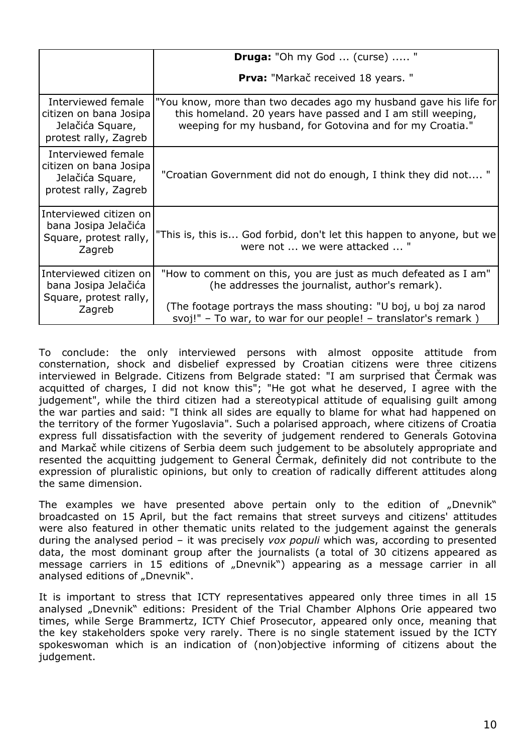|                                                                                           | <b>Druga:</b> "Oh my God  (curse)  "                                                                                                                                                                                                                    |
|-------------------------------------------------------------------------------------------|---------------------------------------------------------------------------------------------------------------------------------------------------------------------------------------------------------------------------------------------------------|
|                                                                                           | <b>Prva:</b> "Markač received 18 years."                                                                                                                                                                                                                |
| Interviewed female<br>citizen on bana Josipa<br>Jelačića Square,<br>protest rally, Zagreb | "You know, more than two decades ago my husband gave his life for<br>this homeland. 20 years have passed and I am still weeping,<br>weeping for my husband, for Gotovina and for my Croatia."                                                           |
| Interviewed female<br>citizen on bana Josipa<br>Jelačića Square,<br>protest rally, Zagreb | "Croatian Government did not do enough, I think they did not "                                                                                                                                                                                          |
| Interviewed citizen on<br>bana Josipa Jelačića<br>Square, protest rally,<br>Zagreb        | "This is, this is God forbid, don't let this happen to anyone, but we<br>were not  we were attacked  "                                                                                                                                                  |
| Interviewed citizen on<br>bana Josipa Jelačića<br>Square, protest rally,<br>Zagreb        | "How to comment on this, you are just as much defeated as I am"<br>(he addresses the journalist, author's remark).<br>(The footage portrays the mass shouting: "U boj, u boj za narod<br>svoj!" – To war, to war for our people! – translator's remark) |

To conclude: the only interviewed persons with almost opposite attitude from consternation, shock and disbelief expressed by Croatian citizens were three citizens interviewed in Belgrade. Citizens from Belgrade stated: "I am surprised that Čermak was acquitted of charges, I did not know this"; "He got what he deserved, I agree with the judgement", while the third citizen had a stereotypical attitude of equalising guilt among the war parties and said: "I think all sides are equally to blame for what had happened on the territory of the former Yugoslavia". Such a polarised approach, where citizens of Croatia express full dissatisfaction with the severity of judgement rendered to Generals Gotovina and Markač while citizens of Serbia deem such judgement to be absolutely appropriate and resented the acquitting judgement to General Čermak, definitely did not contribute to the expression of pluralistic opinions, but only to creation of radically different attitudes along the same dimension.

The examples we have presented above pertain only to the edition of "Dnevnik" broadcasted on 15 April, but the fact remains that street surveys and citizens' attitudes were also featured in other thematic units related to the judgement against the generals during the analysed period – it was precisely *vox populi* which was, according to presented data, the most dominant group after the journalists (a total of 30 citizens appeared as message carriers in 15 editions of "Dnevnik") appearing as a message carrier in all analysed editions of "Dnevnik".

It is important to stress that ICTY representatives appeared only three times in all 15 analysed "Dnevnik" editions: President of the Trial Chamber Alphons Orie appeared two times, while Serge Brammertz, ICTY Chief Prosecutor, appeared only once, meaning that the key stakeholders spoke very rarely. There is no single statement issued by the ICTY spokeswoman which is an indication of (non)objective informing of citizens about the judgement.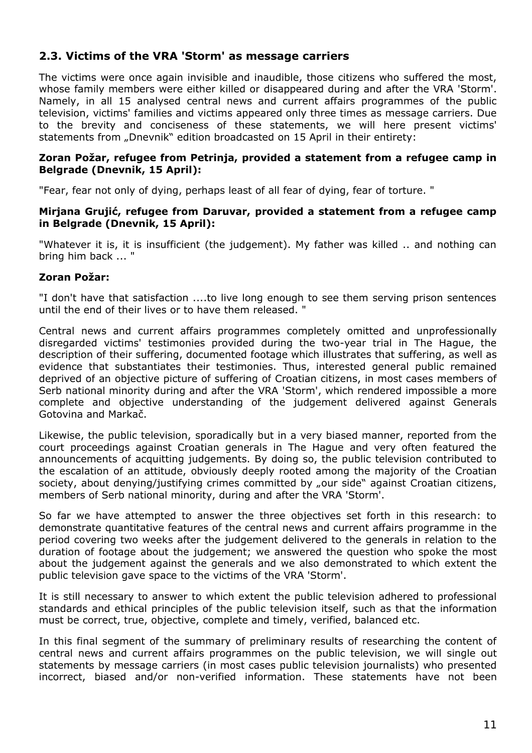## **2.3. Victims of the VRA 'Storm' as message carriers**

The victims were once again invisible and inaudible, those citizens who suffered the most, whose family members were either killed or disappeared during and after the VRA 'Storm'. Namely, in all 15 analysed central news and current affairs programmes of the public television, victims' families and victims appeared only three times as message carriers. Due to the brevity and conciseness of these statements, we will here present victims' statements from "Dnevnik" edition broadcasted on 15 April in their entirety:

#### **Zoran Požar, refugee from Petrinja, provided a statement from a refugee camp in Belgrade (Dnevnik, 15 April):**

"Fear, fear not only of dying, perhaps least of all fear of dying, fear of torture. "

#### **Mirjana Grujić, refugee from Daruvar, provided a statement from a refugee camp in Belgrade (Dnevnik, 15 April):**

"Whatever it is, it is insufficient (the judgement). My father was killed .. and nothing can bring him back ... "

### **Zoran Požar:**

"I don't have that satisfaction ....to live long enough to see them serving prison sentences until the end of their lives or to have them released. "

Central news and current affairs programmes completely omitted and unprofessionally disregarded victims' testimonies provided during the two-year trial in The Hague, the description of their suffering, documented footage which illustrates that suffering, as well as evidence that substantiates their testimonies. Thus, interested general public remained deprived of an objective picture of suffering of Croatian citizens, in most cases members of Serb national minority during and after the VRA 'Storm', which rendered impossible a more complete and objective understanding of the judgement delivered against Generals Gotovina and Markač.

Likewise, the public television, sporadically but in a very biased manner, reported from the court proceedings against Croatian generals in The Hague and very often featured the announcements of acquitting judgements. By doing so, the public television contributed to the escalation of an attitude, obviously deeply rooted among the majority of the Croatian society, about denying/justifying crimes committed by "our side" against Croatian citizens, members of Serb national minority, during and after the VRA 'Storm'.

So far we have attempted to answer the three objectives set forth in this research: to demonstrate quantitative features of the central news and current affairs programme in the period covering two weeks after the judgement delivered to the generals in relation to the duration of footage about the judgement; we answered the question who spoke the most about the judgement against the generals and we also demonstrated to which extent the public television gave space to the victims of the VRA 'Storm'.

It is still necessary to answer to which extent the public television adhered to professional standards and ethical principles of the public television itself, such as that the information must be correct, true, objective, complete and timely, verified, balanced etc.

In this final segment of the summary of preliminary results of researching the content of central news and current affairs programmes on the public television, we will single out statements by message carriers (in most cases public television journalists) who presented incorrect, biased and/or non-verified information. These statements have not been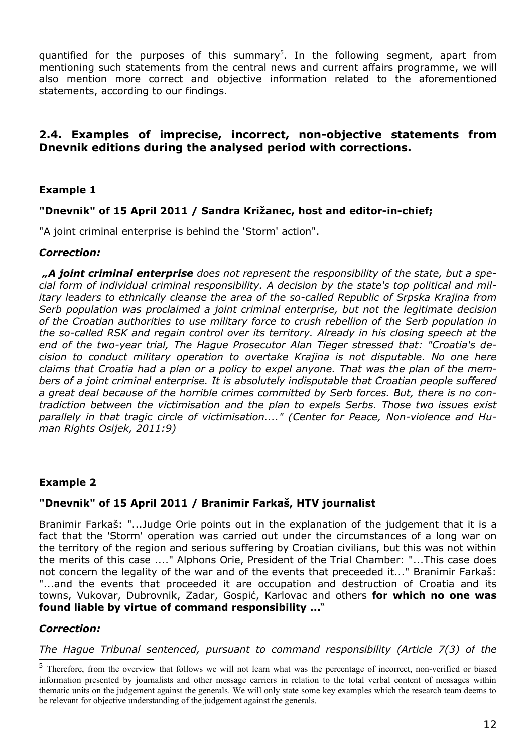quantified for the purposes of this summary<sup>[5](#page-12-0)</sup>. In the following segment, apart from mentioning such statements from the central news and current affairs programme, we will also mention more correct and objective information related to the aforementioned statements, according to our findings.

## **2.4. Examples of imprecise, incorrect, non-objective statements from Dnevnik editions during the analysed period with corrections.**

### **Example 1**

### **"Dnevnik" of 15 April 2011 / Sandra Križanec, host and editor-in-chief;**

"A joint criminal enterprise is behind the 'Storm' action".

#### *Correction:*

*"A joint criminal enterprise does not represent the responsibility of the state, but a special form of individual criminal responsibility. A decision by the state's top political and military leaders to ethnically cleanse the area of the so-called Republic of Srpska Krajina from Serb population was proclaimed a joint criminal enterprise, but not the legitimate decision of the Croatian authorities to use military force to crush rebellion of the Serb population in the so-called RSK and regain control over its territory. Already in his closing speech at the end of the two-year trial, The Hague Prosecutor Alan Tieger stressed that: "Croatia's decision to conduct military operation to overtake Krajina is not disputable. No one here claims that Croatia had a plan or a policy to expel anyone. That was the plan of the members of a joint criminal enterprise. It is absolutely indisputable that Croatian people suffered a great deal because of the horrible crimes committed by Serb forces. But, there is no contradiction between the victimisation and the plan to expels Serbs. Those two issues exist parallely in that tragic circle of victimisation...." (Center for Peace, Non-violence and Human Rights Osijek, 2011:9)*

#### **Example 2**

#### **"Dnevnik" of 15 April 2011 / Branimir Farkaš, HTV journalist**

Branimir Farkaš: "...Judge Orie points out in the explanation of the judgement that it is a fact that the 'Storm' operation was carried out under the circumstances of a long war on the territory of the region and serious suffering by Croatian civilians, but this was not within the merits of this case ...." Alphons Orie, President of the Trial Chamber: "...This case does not concern the legality of the war and of the events that preceeded it..." Branimir Farkaš: "...and the events that proceeded it are occupation and destruction of Croatia and its towns, Vukovar, Dubrovnik, Zadar, Gospić, Karlovac and others **for which no one was found liable by virtue of command responsibility ...**"

#### *Correction:*

*The Hague Tribunal sentenced, pursuant to command responsibility (Article 7(3) of the*

<span id="page-12-0"></span><sup>&</sup>lt;sup>5</sup> Therefore, from the overview that follows we will not learn what was the percentage of incorrect, non-verified or biased information presented by journalists and other message carriers in relation to the total verbal content of messages within thematic units on the judgement against the generals. We will only state some key examples which the research team deems to be relevant for objective understanding of the judgement against the generals.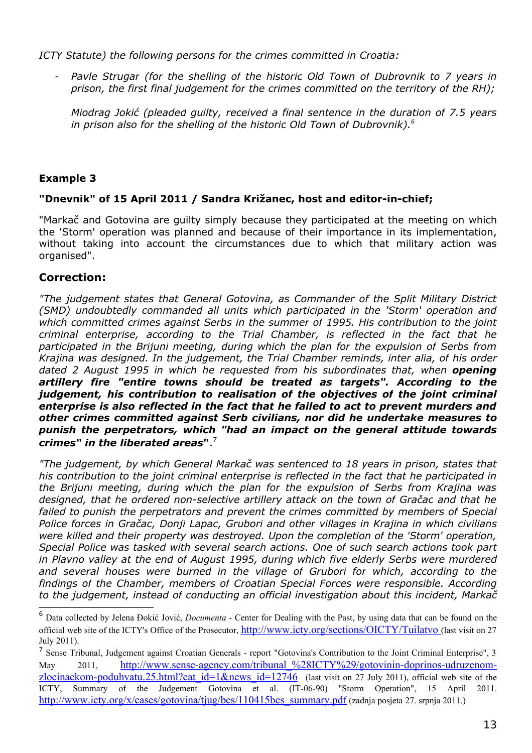*ICTY Statute) the following persons for the crimes committed in Croatia:*

- *Pavle Strugar (for the shelling of the historic Old Town of Dubrovnik to 7 years in prison, the first final judgement for the crimes committed on the territory of the RH);*

*Miodrag Jokić (pleaded guilty, received a final sentence in the duration of 7.5 years in prison also for the shelling of the historic Old Town of Dubrovnik).[6](#page-13-0)*

## **Example 3**

### **"Dnevnik" of 15 April 2011 / Sandra Križanec, host and editor-in-chief;**

"Markač and Gotovina are guilty simply because they participated at the meeting on which the 'Storm' operation was planned and because of their importance in its implementation, without taking into account the circumstances due to which that military action was organised".

# **Correction:**

*"The judgement states that General Gotovina, as Commander of the Split Military District (SMD) undoubtedly commanded all units which participated in the 'Storm' operation and which committed crimes against Serbs in the summer of 1995. His contribution to the joint criminal enterprise, according to the Trial Chamber, is reflected in the fact that he participated in the Brijuni meeting, during which the plan for the expulsion of Serbs from Krajina was designed. In the judgement, the Trial Chamber reminds, inter alia, of his order dated 2 August 1995 in which he requested from his subordinates that, when opening artillery fire "entire towns should be treated as targets". According to the judgement, his contribution to realisation of the objectives of the joint criminal enterprise is also reflected in the fact that he failed to act to prevent murders and other crimes committed against Serb civilians, nor did he undertake measures to punish the perpetrators, which "had an impact on the general attitude towards crimes" in the liberated areas***"**. [7](#page-13-1)

*"The judgement, by which General Markač was sentenced to 18 years in prison, states that his contribution to the joint criminal enterprise is reflected in the fact that he participated in the Brijuni meeting, during which the plan for the expulsion of Serbs from Krajina was designed, that he ordered non-selective artillery attack on the town of Gračac and that he failed to punish the perpetrators and prevent the crimes committed by members of Special Police forces in Gračac, Donji Lapac, Grubori and other villages in Krajina in which civilians were killed and their property was destroyed. Upon the completion of the 'Storm' operation, Special Police was tasked with several search actions. One of such search actions took part in Plavno valley at the end of August 1995, during which five elderly Serbs were murdered and several houses were burned in the village of Grubori for which, according to the findings of the Chamber, members of Croatian Special Forces were responsible. According to the judgement, instead of conducting an official investigation about this incident, Markač*

<span id="page-13-0"></span><sup>6</sup> Data collected by Jelena Đokić Jović, *Documenta* - Center for Dealing with the Past, by using data that can be found on the official web site of the ICTY's Office of the Prosecutor, [http://www.icty.org/sections/OICTY/Tuilatvo](http://www.icty.org/sections/OMKSJ/Tuilatvo) (last visit on 27 July 2011).

<span id="page-13-1"></span><sup>&</sup>lt;sup>7</sup> Sense Tribunal, Judgement against Croatian Generals - report "Gotovina's Contribution to the Joint Criminal Enterprise", 3 May 2011, http://www.sense-agency.com/tribunal %28ICTY%29/gotovinin-doprinos-udruzenom[zlocinackom-poduhvatu.25.html?cat\\_id=1&news\\_id=12746](http://www.sense-agency.com/tribunal_(ICTY)/gotovinin-doprinos-udruzenom-zlocinackom-poduhvatu.25.html?cat_id=1&news_id=12746) (last visit on 27 July 2011), official web site of the ICTY, Summary of the Judgement Gotovina et al. (IT-06-90) "Storm Operation", 15 April 2011. [http://www.icty.org/x/cases/gotovina/tjug/bcs/110415bcs\\_summary.pdf](http://www.icty.org/x/cases/gotovina/tjug/bcs/110415bcs_summary.pdf) (zadnja posjeta 27. srpnja 2011.)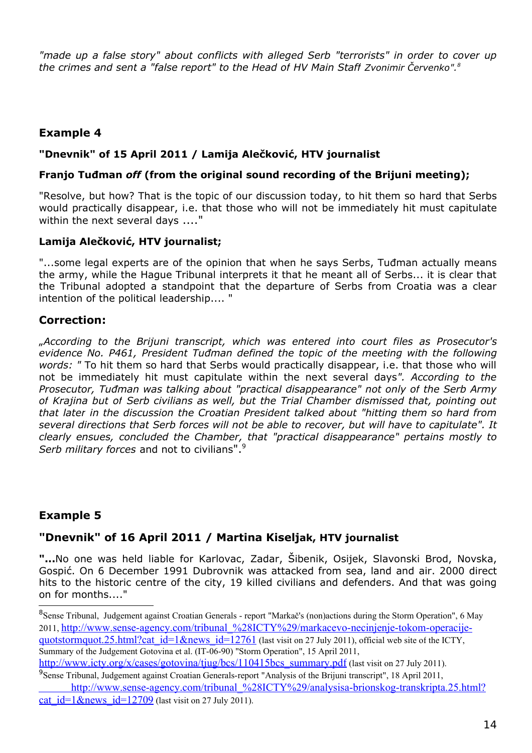*"made up a false story" about conflicts with alleged Serb "terrorists" in order to cover up the crimes and sent a "false report" to the Head of HV Main Staff Zvonimir Červenko".[8](#page-14-0)*

# **Example 4**

### **"Dnevnik" of 15 April 2011 / Lamija Alečković, HTV journalist**

#### **Franjo Tuđman** *off* **(from the original sound recording of the Brijuni meeting);**

"Resolve, but how? That is the topic of our discussion today, to hit them so hard that Serbs would practically disappear, i.e. that those who will not be immediately hit must capitulate within the next several days ...."

### **Lamija Alečković, HTV journalist;**

"...some legal experts are of the opinion that when he says Serbs, Tuđman actually means the army, while the Hague Tribunal interprets it that he meant all of Serbs... it is clear that the Tribunal adopted a standpoint that the departure of Serbs from Croatia was a clear intention of the political leadership.... "

## **Correction:**

"*According to the Brijuni transcript, which was entered into court files as Prosecutor's evidence No. P461, President Tuđman defined the topic of the meeting with the following words: "* To hit them so hard that Serbs would practically disappear, i.e. that those who will not be immediately hit must capitulate within the next several days*". According to the Prosecutor, Tuđman was talking about "practical disappearance" not only of the Serb Army of Krajina but of Serb civilians as well, but the Trial Chamber dismissed that, pointing out that later in the discussion the Croatian President talked about "hitting them so hard from several directions that Serb forces will not be able to recover, but will have to capitulate". It clearly ensues, concluded the Chamber, that "practical disappearance" pertains mostly to Serb military forces* and not to civilians".<sup>[9](#page-14-1)</sup>

# **Example 5**

# **"Dnevnik" of 16 April 2011 / Martina Kiseljak, HTV journalist**

**"...**No one was held liable for Karlovac, Zadar, Šibenik, Osijek, Slavonski Brod, Novska, Gospić. On 6 December 1991 Dubrovnik was attacked from sea, land and air. 2000 direct hits to the historic centre of the city, 19 killed civilians and defenders. And that was going on for months...."

<span id="page-14-0"></span><sup>8</sup>Sense Tribunal, Judgement against Croatian Generals - report "Markač's (non)actions during the Storm Operation", 6 May 2011, [http://www.sense-agency.com/tribunal\\_%28ICTY%29/markacevo-necinjenje-tokom-operacije](http://www.sense-agency.com/tribunal_(ICTY)/markacevo-necinjenje-tokom-operacije-quotstormquot.25.html?cat_id=1&news_id=12761)[quotstormquot.25.html?cat\\_id=1&news\\_id=12761](http://www.sense-agency.com/tribunal_(ICTY)/markacevo-necinjenje-tokom-operacije-quotstormquot.25.html?cat_id=1&news_id=12761) (last visit on 27 July 2011), official web site of the ICTY, Summary of the Judgement Gotovina et al. (IT-06-90) "Storm Operation", 15 April 2011, http://www.icty.org/x/cases/gotovina/tiug/bcs/110415bcs\_summary.pdf (last visit on 27 July 2011).

<span id="page-14-1"></span><sup>&</sup>lt;sup>9</sup> Sense Tribunal, Judgement against Croatian Generals-report "Analysis of the Brijuni transcript", 18 April 2011, http://www.sense-agency.com/tribunal\_%28ICTY%29/analysisa-brionskog-transkripta.25.html?

cat  $id=1$  &news  $id=12709$  (last visit on 27 July 2011).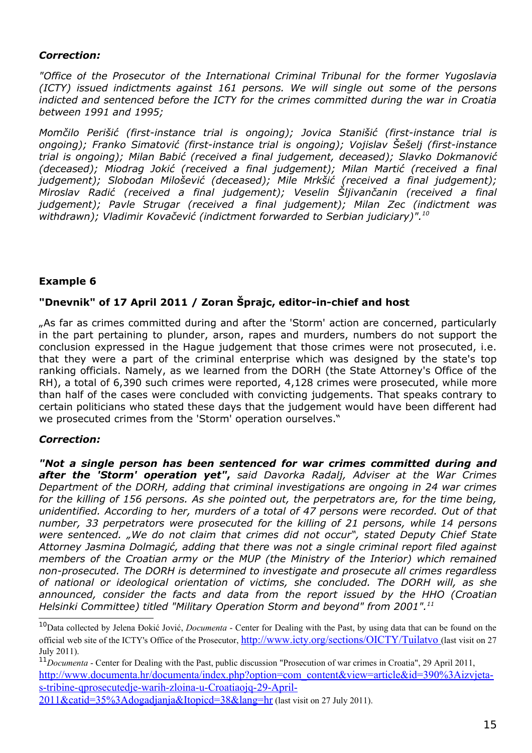#### *Correction:*

*"Office of the Prosecutor of the International Criminal Tribunal for the former Yugoslavia (ICTY) issued indictments against 161 persons. We will single out some of the persons indicted and sentenced before the ICTY for the crimes committed during the war in Croatia between 1991 and 1995;*

*Momčilo Perišić (first-instance trial is ongoing); Jovica Stanišić (first-instance trial is ongoing); Franko Simatović (first-instance trial is ongoing); Vojislav Šešelj (first-instance trial is ongoing); Milan Babić (received a final judgement, deceased); Slavko Dokmanović (deceased); Miodrag Jokić (received a final judgement); Milan Martić (received a final judgement); Slobodan Milošević (deceased); Mile Mrkšić (received a final judgement); Miroslav Radić (received a final judgement); Veselin Šljivančanin (received a final judgement); Pavle Strugar (received a final judgement); Milan Zec (indictment was withdrawn); Vladimir Kovačević (indictment forwarded to Serbian judiciary)".[10](#page-15-0)*

### **Example 6**

## **"Dnevnik" of 17 April 2011 / Zoran Šprajc, editor-in-chief and host**

"As far as crimes committed during and after the 'Storm' action are concerned, particularly in the part pertaining to plunder, arson, rapes and murders, numbers do not support the conclusion expressed in the Hague judgement that those crimes were not prosecuted, i.e. that they were a part of the criminal enterprise which was designed by the state's top ranking officials. Namely, as we learned from the DORH (the State Attorney's Office of the RH), a total of 6,390 such crimes were reported, 4,128 crimes were prosecuted, while more than half of the cases were concluded with convicting judgements. That speaks contrary to certain politicians who stated these days that the judgement would have been different had we prosecuted crimes from the 'Storm' operation ourselves."

#### *Correction:*

*"Not a single person has been sentenced for war crimes committed during and after the 'Storm' operation yet"***,** *said Davorka Radalj, Adviser at the War Crimes Department of the DORH, adding that criminal investigations are ongoing in 24 war crimes for the killing of 156 persons. As she pointed out, the perpetrators are, for the time being, unidentified. According to her, murders of a total of 47 persons were recorded. Out of that number, 33 perpetrators were prosecuted for the killing of 21 persons, while 14 persons were sentenced. "We do not claim that crimes did not occur", stated Deputy Chief State Attorney Jasmina Dolmagić, adding that there was not a single criminal report filed against members of the Croatian army or the MUP (the Ministry of the Interior) which remained non-prosecuted. The DORH is determined to investigate and prosecute all crimes regardless of national or ideological orientation of victims, she concluded. The DORH will, as she announced, consider the facts and data from the report issued by the HHO (Croatian Helsinki Committee) titled "Military Operation Storm and beyond" from 2001".[11](#page-15-1)*

<span id="page-15-0"></span><sup>10</sup>Data collected by Jelena Đokić Jović, *Documenta* - Center for Dealing with the Past, by using data that can be found on the official web site of the ICTY's Office of the Prosecutor, [http://www.icty.org/sections/OICTY/Tuilatvo](http://www.icty.org/sections/OMKSJ/Tuilatvo) (last visit on 27 July 2011).

<span id="page-15-1"></span><sup>11</sup>*Documenta* - Center for Dealing with the Past, public discussion "Prosecution of war crimes in Croatia", 29 April 2011, [http://www.documenta.hr/documenta/index.php?option=com\\_content&view=article&id=390%3Aizvjeta](http://www.documenta.hr/documenta/index.php?option=com_content&view=article&id=390%3Aizvjeta-s-tribine-qprocesuiranje-ratnih-zloina-u-hrvatskojq-29-travnja-2011&catid=35%3Adogadjanja&Itemid=38&lang=hr)[s-tribine-qprosecutedje-warih-zloina-u-Croatiaojq-29-April-](http://www.documenta.hr/documenta/index.php?option=com_content&view=article&id=390%3Aizvjeta-s-tribine-qprocesuiranje-ratnih-zloina-u-hrvatskojq-29-travnja-2011&catid=35%3Adogadjanja&Itemid=38&lang=hr)

[<sup>2011&</sup>amp;catid=35%3Adogadjanja&Itopicd=38&lang=hr](http://www.documenta.hr/documenta/index.php?option=com_content&view=article&id=390%3Aizvjeta-s-tribine-qprocesuiranje-ratnih-zloina-u-hrvatskojq-29-travnja-2011&catid=35%3Adogadjanja&Itemid=38&lang=hr) (last visit on 27 July 2011).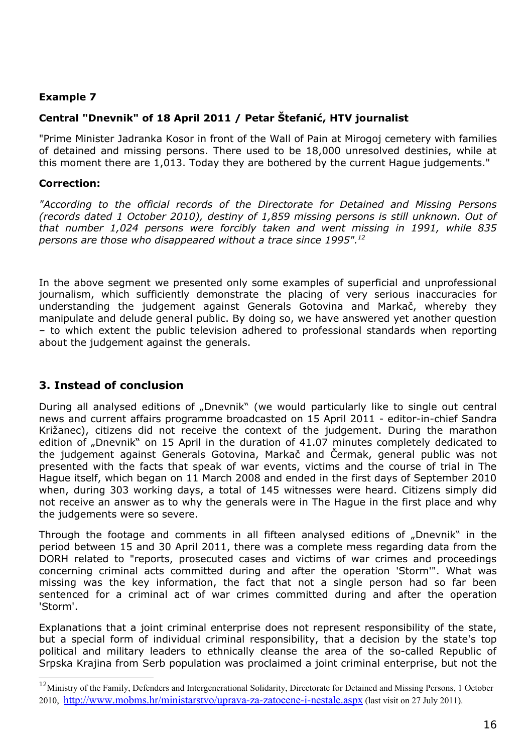### **Example 7**

# **Central "Dnevnik" of 18 April 2011 / Petar Štefanić, HTV journalist**

"Prime Minister Jadranka Kosor in front of the Wall of Pain at Mirogoj cemetery with families of detained and missing persons. There used to be 18,000 unresolved destinies, while at this moment there are 1,013. Today they are bothered by the current Hague judgements."

### **Correction:**

*"According to the official records of the Directorate for Detained and Missing Persons (records dated 1 October 2010), destiny of 1,859 missing persons is still unknown. Out of that number 1,024 persons were forcibly taken and went missing in 1991, while 835 persons are those who disappeared without a trace since 1995".[12](#page-16-0)*

In the above segment we presented only some examples of superficial and unprofessional journalism, which sufficiently demonstrate the placing of very serious inaccuracies for understanding the judgement against Generals Gotovina and Markač, whereby they manipulate and delude general public. By doing so, we have answered yet another question – to which extent the public television adhered to professional standards when reporting about the judgement against the generals.

# **3. Instead of conclusion**

During all analysed editions of "Dnevnik" (we would particularly like to single out central news and current affairs programme broadcasted on 15 April 2011 - editor-in-chief Sandra Križanec), citizens did not receive the context of the judgement. During the marathon edition of "Dnevnik" on 15 April in the duration of 41.07 minutes completely dedicated to the judgement against Generals Gotovina, Markač and Čermak, general public was not presented with the facts that speak of war events, victims and the course of trial in The Hague itself, which began on 11 March 2008 and ended in the first days of September 2010 when, during 303 working days, a total of 145 witnesses were heard. Citizens simply did not receive an answer as to why the generals were in The Hague in the first place and why the judgements were so severe.

Through the footage and comments in all fifteen analysed editions of "Dnevnik" in the period between 15 and 30 April 2011, there was a complete mess regarding data from the DORH related to "reports, prosecuted cases and victims of war crimes and proceedings concerning criminal acts committed during and after the operation 'Storm'". What was missing was the key information, the fact that not a single person had so far been sentenced for a criminal act of war crimes committed during and after the operation 'Storm'.

Explanations that a joint criminal enterprise does not represent responsibility of the state, but a special form of individual criminal responsibility, that a decision by the state's top political and military leaders to ethnically cleanse the area of the so-called Republic of Srpska Krajina from Serb population was proclaimed a joint criminal enterprise, but not the

<span id="page-16-0"></span><sup>&</sup>lt;sup>12</sup>Ministry of the Family, Defenders and Intergenerational Solidarity, Directorate for Detained and Missing Persons, 1 October 2010, <http://www.mobms.hr/ministarstvo/uprava-za-zatocene-i-nestale.aspx> (last visit on 27 July 2011).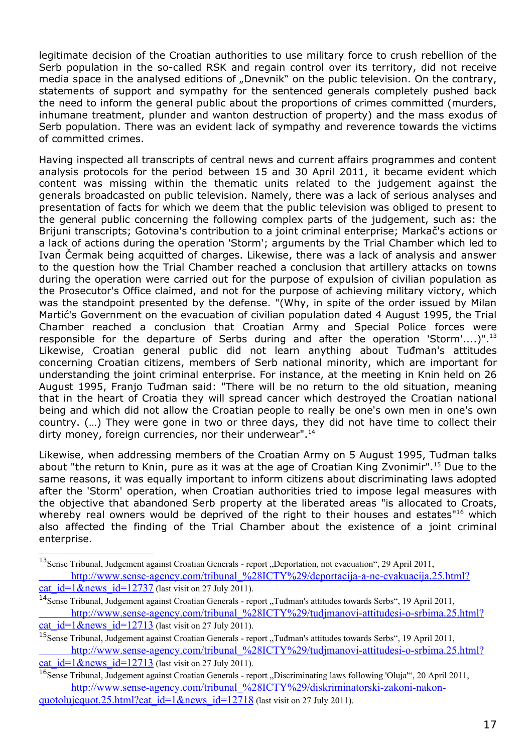legitimate decision of the Croatian authorities to use military force to crush rebellion of the Serb population in the so-called RSK and regain control over its territory, did not receive media space in the analysed editions of "Dnevnik" on the public television. On the contrary, statements of support and sympathy for the sentenced generals completely pushed back the need to inform the general public about the proportions of crimes committed (murders, inhumane treatment, plunder and wanton destruction of property) and the mass exodus of Serb population. There was an evident lack of sympathy and reverence towards the victims of committed crimes.

Having inspected all transcripts of central news and current affairs programmes and content analysis protocols for the period between 15 and 30 April 2011, it became evident which content was missing within the thematic units related to the judgement against the generals broadcasted on public television. Namely, there was a lack of serious analyses and presentation of facts for which we deem that the public television was obliged to present to the general public concerning the following complex parts of the judgement, such as: the Brijuni transcripts; Gotovina's contribution to a joint criminal enterprise; Markač's actions or a lack of actions during the operation 'Storm'; arguments by the Trial Chamber which led to Ivan Čermak being acquitted of charges. Likewise, there was a lack of analysis and answer to the question how the Trial Chamber reached a conclusion that artillery attacks on towns during the operation were carried out for the purpose of expulsion of civilian population as the Prosecutor's Office claimed, and not for the purpose of achieving military victory, which was the standpoint presented by the defense. "(Why, in spite of the order issued by Milan Martić's Government on the evacuation of civilian population dated 4 August 1995, the Trial Chamber reached a conclusion that Croatian Army and Special Police forces were responsible for the departure of Serbs during and after the operation 'Storm'....)".<sup>[13](#page-17-0)</sup> Likewise, Croatian general public did not learn anything about Tuđman's attitudes concerning Croatian citizens, members of Serb national minority, which are important for understanding the joint criminal enterprise. For instance, at the meeting in Knin held on 26 August 1995, Franjo Tuđman said: "There will be no return to the old situation, meaning that in the heart of Croatia they will spread cancer which destroyed the Croatian national being and which did not allow the Croatian people to really be one's own men in one's own country. (…) They were gone in two or three days, they did not have time to collect their dirty money, foreign currencies, nor their underwear".<sup>[14](#page-17-1)</sup>

Likewise, when addressing members of the Croatian Army on 5 August 1995, Tuđman talks about "the return to Knin, pure as it was at the age of Croatian King Zvonimir".[15](#page-17-2) Due to the same reasons, it was equally important to inform citizens about discriminating laws adopted after the 'Storm' operation, when Croatian authorities tried to impose legal measures with the objective that abandoned Serb property at the liberated areas "is allocated to Croats, whereby real owners would be deprived of the right to their houses and estates"<sup>[16](#page-17-3)</sup> which also affected the finding of the Trial Chamber about the existence of a joint criminal enterprise.

<span id="page-17-0"></span><sup>&</sup>lt;sup>13</sup>Sense Tribunal, Judgement against Croatian Generals - report "Deportation, not evacuation", 29 April 2011, http://www.sense-agency.com/tribunal\_%28ICTY%29/deportacija-a-ne-evakuacija.25.html?

cat  $id=1$  &news  $id=12737$  (last visit on 27 July 2011).

<span id="page-17-1"></span><sup>&</sup>lt;sup>14</sup>Sense Tribunal, Judgement against Croatian Generals - report "Tuđman's attitudes towards Serbs", 19 April 2011, http://www.sense-agency.com/tribunal\_%28ICTY%29/tudjmanovi-attitudesi-o-srbima.25.html? cat  $id=1$ &news  $id=12713$  (last visit on 27 July 2011).

<span id="page-17-2"></span><sup>&</sup>lt;sup>15</sup>Sense Tribunal. Judgement against Croatian Generals - report "Tuđman's attitudes towards Serbs", 19 April 2011,

http://www.sense-agency.com/tribunal\_%28ICTY%29/tudjmanovi-attitudesi-o-srbima.25.html? cat  $id=1$ &news  $id=12713$  (last visit on 27 July 2011).

<span id="page-17-3"></span><sup>&</sup>lt;sup>16</sup>Sense Tribunal, Judgement against Croatian Generals - report "Discriminating laws following 'Oluja'", 20 April 2011,  [http://www.sense-agency.com/tribunal\\_%28ICTY%29/diskriminatorski-zakoni-nakon](http://www.sense-agency.com/tribunal_(ICTY)/diskriminatorski-zakoni-nakon-quotolujequot.25.html?cat_id=1&news_id=12718)[quotolujequot.25.html?cat\\_id=1&news\\_id=12718](http://www.sense-agency.com/tribunal_(ICTY)/diskriminatorski-zakoni-nakon-quotolujequot.25.html?cat_id=1&news_id=12718) (last visit on 27 July 2011).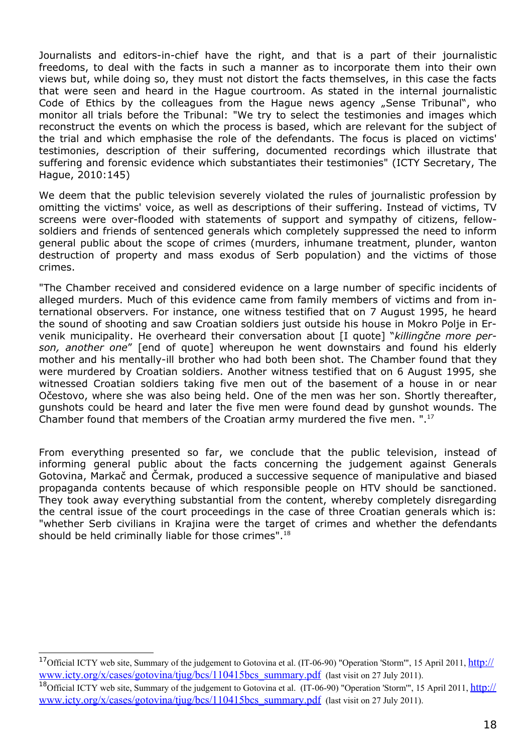Journalists and editors-in-chief have the right, and that is a part of their journalistic freedoms, to deal with the facts in such a manner as to incorporate them into their own views but, while doing so, they must not distort the facts themselves, in this case the facts that were seen and heard in the Hague courtroom. As stated in the internal journalistic Code of Ethics by the colleagues from the Hague news agency "Sense Tribunal", who monitor all trials before the Tribunal: "We try to select the testimonies and images which reconstruct the events on which the process is based, which are relevant for the subject of the trial and which emphasise the role of the defendants. The focus is placed on victims' testimonies, description of their suffering, documented recordings which illustrate that suffering and forensic evidence which substantiates their testimonies" (ICTY Secretary, The Hague, 2010:145)

We deem that the public television severely violated the rules of journalistic profession by omitting the victims' voice, as well as descriptions of their suffering. Instead of victims, TV screens were over-flooded with statements of support and sympathy of citizens, fellowsoldiers and friends of sentenced generals which completely suppressed the need to inform general public about the scope of crimes (murders, inhumane treatment, plunder, wanton destruction of property and mass exodus of Serb population) and the victims of those crimes.

"The Chamber received and considered evidence on a large number of specific incidents of alleged murders. Much of this evidence came from family members of victims and from international observers. For instance, one witness testified that on 7 August 1995, he heard the sound of shooting and saw Croatian soldiers just outside his house in Mokro Polje in Ervenik municipality. He overheard their conversation about [I quote] "*killingčne more person, another one*" [end of quote] whereupon he went downstairs and found his elderly mother and his mentally-ill brother who had both been shot. The Chamber found that they were murdered by Croatian soldiers. Another witness testified that on 6 August 1995, she witnessed Croatian soldiers taking five men out of the basement of a house in or near Očestovo, where she was also being held. One of the men was her son. Shortly thereafter, gunshots could be heard and later the five men were found dead by gunshot wounds. The Chamber found that members of the Croatian army murdered the five men. " $^{17}$  $^{17}$  $^{17}$ 

From everything presented so far, we conclude that the public television, instead of informing general public about the facts concerning the judgement against Generals Gotovina, Markač and Čermak, produced a successive sequence of manipulative and biased propaganda contents because of which responsible people on HTV should be sanctioned. They took away everything substantial from the content, whereby completely disregarding the central issue of the court proceedings in the case of three Croatian generals which is: "whether Serb civilians in Krajina were the target of crimes and whether the defendants should be held criminally liable for those crimes".<sup>[18](#page-18-1)</sup>

<span id="page-18-0"></span><sup>&</sup>lt;sup>17</sup>Official ICTY web site, Summary of the judgement to Gotovina et al. (IT-06-90) "Operation 'Storm'", 15 April 2011, *[http://](http://www.icty.org/x/cases/gotovina/tjug/bcs/110415bcs_summary.pdf)* [www.icty.org/x/cases/gotovina/tjug/bcs/110415bcs\\_summary.pdf](http://www.icty.org/x/cases/gotovina/tjug/bcs/110415bcs_summary.pdf) (last visit on 27 July 2011).

<span id="page-18-1"></span><sup>&</sup>lt;sup>18</sup>Official ICTY web site, Summary of the judgement to Gotovina et al. (IT-06-90) "Operation 'Storm'", 15 April 2011, [http://](http://www.icty.org/x/cases/gotovina/tjug/bcs/110415bcs_summary.pdf) www.icty.org/x/cases/gotovina/tiug/bcs/110415bcs\_summary.pdf (last visit on 27 July 2011).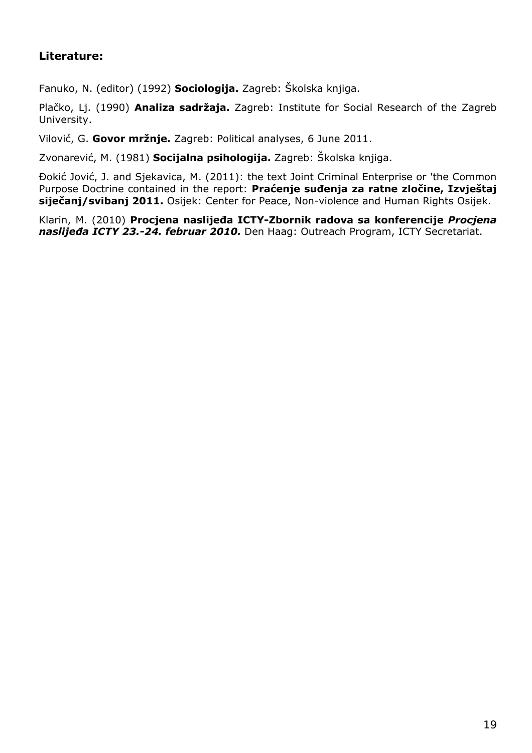# **Literature:**

Fanuko, N. (editor) (1992) **Sociologija.** Zagreb: Školska knjiga.

Plačko, Lj. (1990) **Analiza sadržaja.** Zagreb: Institute for Social Research of the Zagreb University.

Vilović, G. **Govor mržnje.** Zagreb: Political analyses, 6 June 2011.

Zvonarević, M. (1981) **Socijalna psihologija.** Zagreb: Školska knjiga.

Đokić Jović, J. and Sjekavica, M. (2011): the text Joint Criminal Enterprise or 'the Common Purpose Doctrine contained in the report: **Praćenje suđenja za ratne zločine, Izvještaj siječanj/svibanj 2011.** Osijek: Center for Peace, Non-violence and Human Rights Osijek.

Klarin, M. (2010) **Procjena naslijeđa ICTY-Zbornik radova sa konferencije** *Procjena naslijeđa ICTY 23.-24. februar 2010.* Den Haag: Outreach Program, ICTY Secretariat.